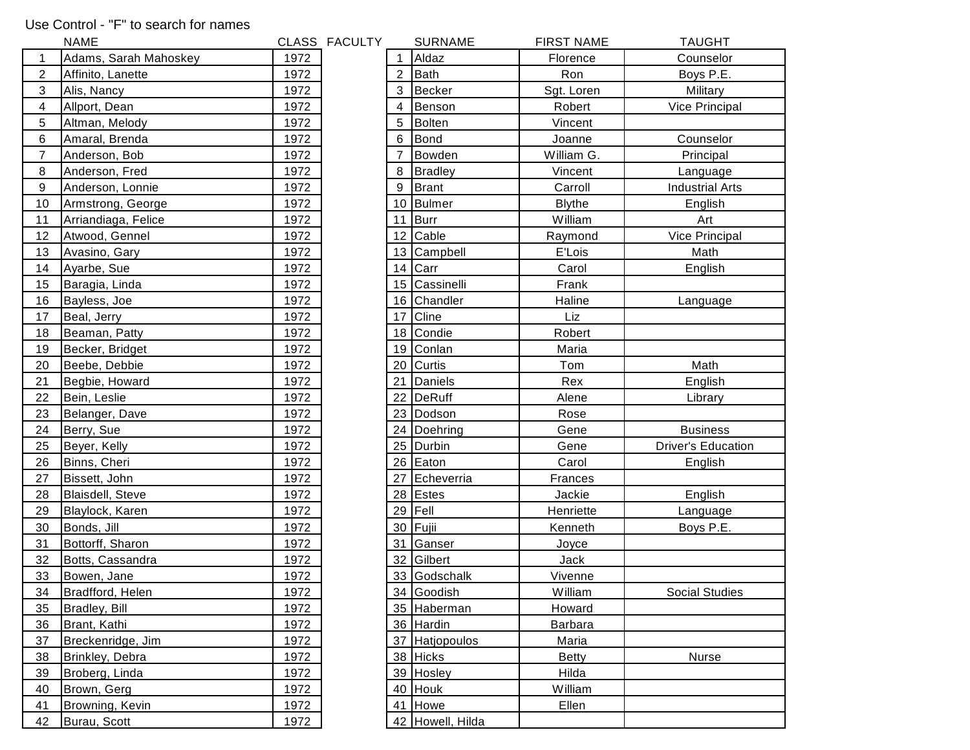## Use Control - "F" to search for names

|                  | <b>NAME</b>            |      | CLASS FACULTY |    | <b>SURNAME</b>   | <b>FIRST NAME</b> | <b>TAUGHT</b>             |
|------------------|------------------------|------|---------------|----|------------------|-------------------|---------------------------|
| 1                | Adams, Sarah Mahoskey  | 1972 |               |    | Aldaz            | Florence          | Counselor                 |
| $\boldsymbol{2}$ | Affinito, Lanette      | 1972 |               | 2  | Bath             | Ron               | Boys P.E.                 |
| 3                | Alis, Nancy            | 1972 |               | 3  | Becker           | Sgt. Loren        | Military                  |
|                  | 4<br>Allport, Dean     | 1972 |               | 4  | Benson           | Robert            | Vice Principal            |
| $\mathbf 5$      | Altman, Melody         | 1972 |               | 5  | Bolten           | Vincent           |                           |
| 6                | Amaral, Brenda         | 1972 |               | 6  | Bond             | Joanne            | Counselor                 |
| $\overline{7}$   | Anderson, Bob          | 1972 |               |    | Bowden           | William G.        | Principal                 |
| 8                | Anderson, Fred         | 1972 |               | 8  | <b>Bradley</b>   | Vincent           | Language                  |
| 9                | Anderson, Lonnie       | 1972 |               | 9  | Brant            | Carroll           | <b>Industrial Arts</b>    |
| 10               | Armstrong, George      | 1972 |               |    | 10 Bulmer        | <b>Blythe</b>     | English                   |
| 11               | Arriandiaga, Felice    | 1972 |               | 11 | Burr             | William           | Art                       |
| 12               | Atwood, Gennel         | 1972 |               |    | 12 Cable         | Raymond           | Vice Principal            |
| 13               | Avasino, Gary          | 1972 |               |    | 13 Campbell      | E'Lois            | Math                      |
|                  | 14<br>Ayarbe, Sue      | 1972 |               |    | 14 $Carr$        | Carol             | English                   |
| 15               | Baragia, Linda         | 1972 |               |    | 15 Cassinelli    | Frank             |                           |
| 16               | Bayless, Joe           | 1972 |               |    | 16 Chandler      | Haline            | Language                  |
| 17               | Beal, Jerry            | 1972 |               | 17 | Cline            | Liz               |                           |
|                  | 18<br>Beaman, Patty    | 1972 |               |    | 18 Condie        | Robert            |                           |
| 19               | Becker, Bridget        | 1972 |               |    | 19 Conlan        | Maria             |                           |
| 20               | Beebe, Debbie          | 1972 |               |    | 20 Curtis        | Tom               | Math                      |
| 21               | Begbie, Howard         | 1972 |               | 21 | Daniels          | Rex               | English                   |
| 22               | Bein, Leslie           | 1972 |               | 22 | DeRuff           | Alene             | Library                   |
| 23               | Belanger, Dave         | 1972 |               |    | 23 Dodson        | Rose              |                           |
|                  | 24<br>Berry, Sue       | 1972 |               |    | 24 Doehring      | Gene              | <b>Business</b>           |
|                  | 25<br>Beyer, Kelly     | 1972 |               |    | 25 Durbin        | Gene              | <b>Driver's Education</b> |
| 26               | Binns, Cheri           | 1972 |               |    | 26 Eaton         | Carol             | English                   |
| 27               | Bissett, John          | 1972 |               | 27 | Echeverria       | Frances           |                           |
| 28               | Blaisdell, Steve       | 1972 |               |    | 28 Estes         | Jackie            | English                   |
| 29               | Blaylock, Karen        | 1972 |               | 29 | Fell             | Henriette         | Language                  |
| 30               | Bonds, Jill            | 1972 |               |    | 30 Fujii         | Kenneth           | Boys P.E.                 |
| 31               | Bottorff, Sharon       | 1972 |               | 31 | Ganser           | Joyce             |                           |
| 32               | Botts, Cassandra       | 1972 |               | 32 | Gilbert          | Jack              |                           |
|                  | 33<br>Bowen, Jane      | 1972 |               |    | 33 Godschalk     | Vivenne           |                           |
|                  | 34<br>Bradfford, Helen | 1972 |               |    | 34 Goodish       | William           | Social Studies            |
| 35               | Bradley, Bill          | 1972 |               |    | 35 Haberman      | Howard            |                           |
| 36               | Brant, Kathi           | 1972 |               |    | 36 Hardin        | <b>Barbara</b>    |                           |
| 37               | Breckenridge, Jim      | 1972 |               |    | 37 Hatjopoulos   | Maria             |                           |
|                  | 38<br>Brinkley, Debra  | 1972 |               |    | 38 Hicks         | <b>Betty</b>      | Nurse                     |
| 39               | Broberg, Linda         | 1972 |               |    | 39 Hosley        | Hilda             |                           |
| 40               | Brown, Gerg            | 1972 |               |    | 40 Houk          | William           |                           |
| 41               | Browning, Kevin        | 1972 |               |    | 41 Howe          | Ellen             |                           |
|                  | 42<br>Burau, Scott     | 1972 |               |    | 42 Howell, Hilda |                   |                           |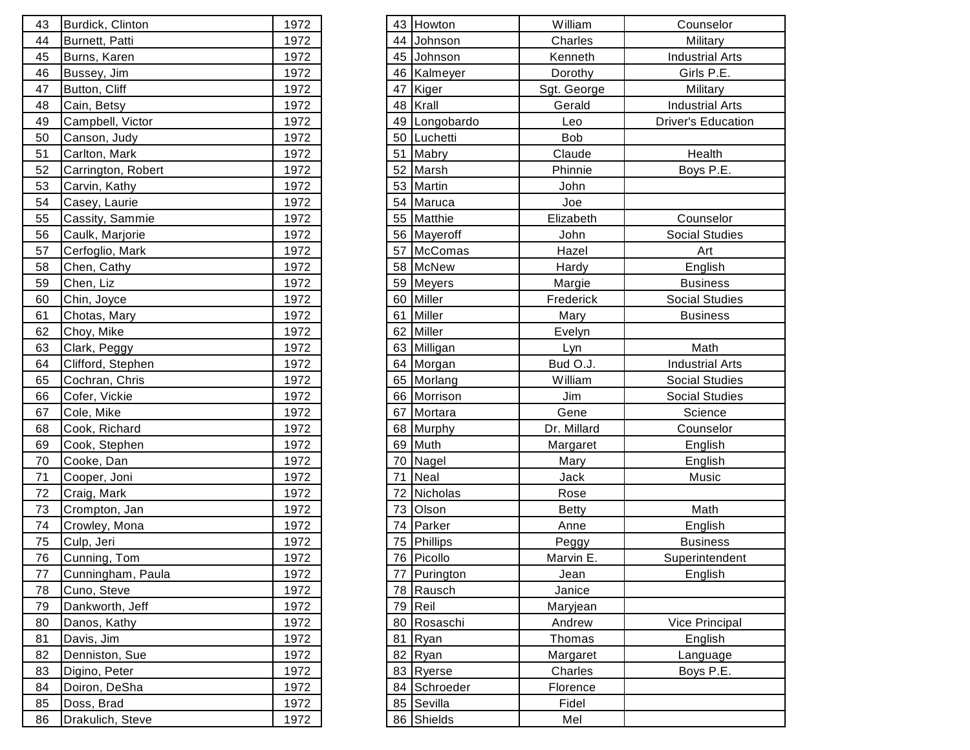| 43 | Burdick, Clinton   | 1972 |    | 43 Howton     | William         |
|----|--------------------|------|----|---------------|-----------------|
| 44 | Burnett, Patti     | 1972 | 44 | Johnson       | Charles         |
| 45 | Burns, Karen       | 1972 |    | 45 Johnson    | Kenneth         |
| 46 | Bussey, Jim        | 1972 | 46 | Kalmeyer      | Dorothy         |
| 47 | Button, Cliff      | 1972 | 47 | Kiger         | Sgt. Georg      |
| 48 | Cain, Betsy        | 1972 | 48 | Krall         | Gerald          |
| 49 | Campbell, Victor   | 1972 |    | 49 Longobardo | Leo             |
| 50 | Canson, Judy       | 1972 |    | 50 Luchetti   | Bob             |
| 51 | Carlton, Mark      | 1972 | 51 | Mabry         | Claude          |
| 52 | Carrington, Robert | 1972 |    | 52 Marsh      | Phinnie         |
| 53 | Carvin, Kathy      | 1972 |    | 53 Martin     | John            |
| 54 | Casey, Laurie      | 1972 |    | 54 Maruca     | Joe             |
| 55 | Cassity, Sammie    | 1972 |    | 55 Matthie    | Elizabeth       |
| 56 | Caulk, Marjorie    | 1972 |    | 56 Mayeroff   | John            |
| 57 | Cerfoglio, Mark    | 1972 | 57 | McComas       | Hazel           |
| 58 | Chen, Cathy        | 1972 |    | 58 McNew      | Hardy           |
| 59 | Chen, Liz          | 1972 |    | 59 Meyers     | Margie          |
| 60 | Chin, Joyce        | 1972 |    | 60 Miller     | Frederick       |
| 61 | Chotas, Mary       | 1972 | 61 | Miller        | Mary            |
| 62 | Choy, Mike         | 1972 |    | 62 Miller     | Evelyn          |
| 63 | Clark, Peggy       | 1972 |    | 63 Milligan   | Lyn             |
| 64 | Clifford, Stephen  | 1972 |    | 64 Morgan     | Bud O.J.        |
| 65 | Cochran, Chris     | 1972 |    | 65 Morlang    | William         |
| 66 | Cofer, Vickie      | 1972 |    | 66 Morrison   | Jim             |
| 67 | Cole, Mike         | 1972 |    | 67 Mortara    | Gene            |
| 68 | Cook, Richard      | 1972 |    | 68 Murphy     | Dr. Millard     |
| 69 | Cook, Stephen      | 1972 |    | 69 Muth       | Margaret        |
| 70 | Cooke, Dan         | 1972 |    | 70 Nagel      | Mary            |
| 71 | Cooper, Joni       | 1972 | 71 | Neal          | Jack            |
| 72 | Craig, Mark        | 1972 | 72 | Nicholas      | <b>Rose</b>     |
| 73 | Crompton, Jan      | 1972 |    | 73 Olson      | <b>Betty</b>    |
| 74 | Crowley, Mona      | 1972 | 74 | Parker        | Anne            |
| 75 | Culp, Jeri         | 1972 |    | 75 Phillips   | Peggy           |
| 76 | Cunning, Tom       | 1972 |    | 76 Picollo    | Marvin E.       |
| 77 | Cunningham, Paula  | 1972 | 77 | Purington     | Jean            |
| 78 | Cuno, Steve        | 1972 | 78 | Rausch        | Janice          |
| 79 | Dankworth, Jeff    | 1972 |    | 79 Reil       | <b>Maryjean</b> |
| 80 | Danos, Kathy       | 1972 |    | 80 Rosaschi   | Andrew          |
| 81 | Davis, Jim         | 1972 | 81 | Ryan          | Thomas          |
| 82 | Denniston, Sue     | 1972 |    | 82 Ryan       | Margaret        |
| 83 | Digino, Peter      | 1972 |    | 83 Ryerse     | Charles         |
| 84 | Doiron, DeSha      | 1972 |    | 84 Schroeder  | Florence        |
| 85 | Doss, Brad         | 1972 |    | 85 Sevilla    | Fidel           |
| 86 | Drakulich, Steve   | 1972 |    | 86 Shields    | Mel             |

| 43               | Burdick, Clinton   | 1972 |    | 43 Howton    | William      | Counselor                 |
|------------------|--------------------|------|----|--------------|--------------|---------------------------|
| 44               | Burnett, Patti     | 1972 |    | 44 Johnson   | Charles      | Military                  |
| $45\,$           | Burns, Karen       | 1972 |    | 45 Johnson   | Kenneth      | <b>Industrial Arts</b>    |
| 46               | Bussey, Jim        | 1972 |    | 46 Kalmeyer  | Dorothy      | Girls P.E.                |
| 47               | Button, Cliff      | 1972 |    | 47 Kiger     | Sgt. George  | Military                  |
| 48               | Cain, Betsy        | 1972 |    | 48 Krall     | Gerald       | <b>Industrial Arts</b>    |
| 49               | Campbell, Victor   | 1972 | 49 | Longobardo   | Leo          | <b>Driver's Education</b> |
| 50               | Canson, Judy       | 1972 | 50 | Luchetti     | <b>Bob</b>   |                           |
| 51               | Carlton, Mark      | 1972 |    | 51 Mabry     | Claude       | Health                    |
| 52               | Carrington, Robert | 1972 |    | 52 Marsh     | Phinnie      | Boys P.E.                 |
| 53               | Carvin, Kathy      | 1972 |    | 53 Martin    | John         |                           |
| 54               | Casey, Laurie      | 1972 |    | 54 Maruca    | Joe          |                           |
| $55\overline{)}$ | Cassity, Sammie    | 1972 |    | 55 Matthie   | Elizabeth    | Counselor                 |
| 56               | Caulk, Marjorie    | 1972 |    | 56 Mayeroff  | John         | <b>Social Studies</b>     |
| 57               | Cerfoglio, Mark    | 1972 |    | 57 McComas   | Hazel        | Art                       |
| 58               | Chen, Cathy        | 1972 |    | 58 McNew     | Hardy        | English                   |
| 59               | Chen, Liz          | 1972 |    | 59 Meyers    | Margie       | <b>Business</b>           |
| 60               | Chin, Joyce        | 1972 | 60 | Miller       | Frederick    | <b>Social Studies</b>     |
| 61               | Chotas, Mary       | 1972 | 61 | Miller       | Mary         | <b>Business</b>           |
| 62               | Choy, Mike         | 1972 |    | 62 Miller    | Evelyn       |                           |
| 63               | Clark, Peggy       | 1972 |    | 63 Milligan  | Lyn          | Math                      |
| 64               | Clifford, Stephen  | 1972 |    | 64 Morgan    | Bud O.J.     | <b>Industrial Arts</b>    |
| 65               | Cochran, Chris     | 1972 |    | 65 Morlang   | William      | <b>Social Studies</b>     |
| 66               | Cofer, Vickie      | 1972 |    | 66 Morrison  | Jim          | Social Studies            |
| 67               | Cole, Mike         | 1972 |    | 67 Mortara   | Gene         | Science                   |
| 68               | Cook, Richard      | 1972 |    | 68 Murphy    | Dr. Millard  | Counselor                 |
| 69               | Cook, Stephen      | 1972 |    | 69 Muth      | Margaret     | English                   |
| 70               | Cooke, Dan         | 1972 | 70 | Nagel        | Mary         | English                   |
| 71               | Cooper, Joni       | 1972 | 71 | Neal         | Jack         | Music                     |
| 72               | Craig, Mark        | 1972 |    | 72 Nicholas  | Rose         |                           |
| 73               | Crompton, Jan      | 1972 |    | 73 Olson     | <b>Betty</b> | Math                      |
| 74               | Crowley, Mona      | 1972 |    | 74 Parker    | Anne         | English                   |
| 75               | Culp, Jeri         | 1972 |    | 75 Phillips  | Peggy        | <b>Business</b>           |
| 76               | Cunning, Tom       | 1972 |    | 76 Picollo   | Marvin E.    | Superintendent            |
| 77               | Cunningham, Paula  | 1972 |    | 77 Purington | Jean         | English                   |
| 78               | Cuno, Steve        | 1972 |    | 78 Rausch    | Janice       |                           |
| 79               | Dankworth, Jeff    | 1972 |    | 79 Reil      | Maryjean     |                           |
| 80               | Danos, Kathy       | 1972 |    | 80 Rosaschi  | Andrew       | Vice Principal            |
| 81               | Davis, Jim         | 1972 |    | 81 Ryan      | Thomas       | English                   |
| 82               | Denniston, Sue     | 1972 |    | 82 Ryan      | Margaret     | Language                  |
| 83               | Digino, Peter      | 1972 |    | 83 Ryerse    | Charles      | Boys P.E.                 |
| 84               | Doiron, DeSha      | 1972 | 84 | Schroeder    | Florence     |                           |
| 85               | Doss, Brad         | 1972 |    | 85 Sevilla   | Fidel        |                           |
| 86               | Drakulich, Steve   | 1972 |    | 86 Shields   | Mel          |                           |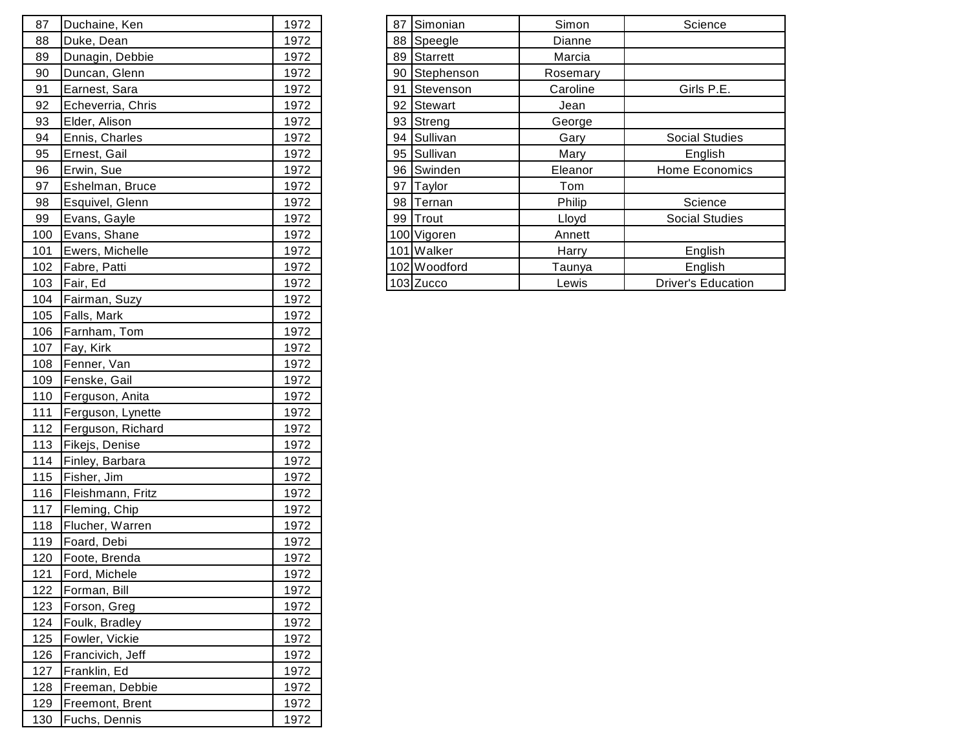| 87  | Duchaine, Ken     | 1972 |  | 87 Simonian   | Simon    |
|-----|-------------------|------|--|---------------|----------|
| 88  | Duke, Dean        | 1972 |  | 88 Speegle    | Dianne   |
| 89  | Dunagin, Debbie   | 1972 |  | 89 Starrett   | Marcia   |
| 90  | Duncan, Glenn     | 1972 |  | 90 Stephenson | Rosemary |
| 91  | Earnest, Sara     | 1972 |  | 91 Stevenson  | Caroline |
| 92  | Echeverria, Chris | 1972 |  | 92 Stewart    | Jean     |
| 93  | Elder, Alison     | 1972 |  | 93 Streng     | George   |
| 94  | Ennis, Charles    | 1972 |  | 94 Sullivan   | Gary     |
| 95  | Ernest, Gail      | 1972 |  | 95 Sullivan   | Mary     |
| 96  | Erwin, Sue        | 1972 |  | 96 Swinden    | Eleanor  |
| 97  | Eshelman, Bruce   | 1972 |  | 97 Taylor     | Tom      |
| 98  | Esquivel, Glenn   | 1972 |  | 98 Ternan     | Philip   |
| 99  | Evans, Gayle      | 1972 |  | 99 Trout      | Lloyd    |
| 100 | Evans, Shane      | 1972 |  | 100 Vigoren   | Annett   |
| 101 | Ewers, Michelle   | 1972 |  | 101 Walker    | Harry    |
| 102 | Fabre, Patti      | 1972 |  | 102 Woodford  | Taunya   |
| 103 | Fair, Ed          | 1972 |  | 103 Zucco     | Lewis    |
| 104 | Fairman, Suzy     | 1972 |  |               |          |
| 105 | Falls, Mark       | 1972 |  |               |          |
| 106 | Farnham, Tom      | 1972 |  |               |          |
| 107 | Fay, Kirk         | 1972 |  |               |          |
| 108 | Fenner, Van       | 1972 |  |               |          |
| 109 | Fenske, Gail      | 1972 |  |               |          |
| 110 | Ferguson, Anita   | 1972 |  |               |          |
| 111 | Ferguson, Lynette | 1972 |  |               |          |
| 112 | Ferguson, Richard | 1972 |  |               |          |
| 113 | Fikejs, Denise    | 1972 |  |               |          |
| 114 | Finley, Barbara   | 1972 |  |               |          |
| 115 | Fisher, Jim       | 1972 |  |               |          |
| 116 | Fleishmann, Fritz | 1972 |  |               |          |
| 117 | Fleming, Chip     | 1972 |  |               |          |
| 118 | Flucher, Warren   | 1972 |  |               |          |
| 119 | Foard, Debi       | 1972 |  |               |          |
| 120 | Foote, Brenda     | 1972 |  |               |          |
| 121 | Ford, Michele     | 1972 |  |               |          |
| 122 | Forman, Bill      | 1972 |  |               |          |
| 123 | Forson, Greg      | 1972 |  |               |          |
| 124 | Foulk, Bradley    | 1972 |  |               |          |
| 125 | Fowler, Vickie    | 1972 |  |               |          |
| 126 | Francivich, Jeff  | 1972 |  |               |          |
| 127 | Franklin, Ed      | 1972 |  |               |          |
| 128 | Freeman, Debbie   | 1972 |  |               |          |
| 129 | Freemont, Brent   | 1972 |  |               |          |
| 130 | Fuchs, Dennis     | 1972 |  |               |          |

| 87  | Duchaine, Ken     | 1972 |  | 87 Simonian   | Simon    | Science                   |
|-----|-------------------|------|--|---------------|----------|---------------------------|
| 88  | Duke, Dean        | 1972 |  | 88 Speegle    | Dianne   |                           |
| 89  | Dunagin, Debbie   | 1972 |  | 89 Starrett   | Marcia   |                           |
| 90  | Duncan, Glenn     | 1972 |  | 90 Stephenson | Rosemary |                           |
| 91  | Earnest, Sara     | 1972 |  | 91 Stevenson  | Caroline | Girls P.E.                |
| 92  | Echeverria, Chris | 1972 |  | 92 Stewart    | Jean     |                           |
| 93  | Elder, Alison     | 1972 |  | 93 Streng     | George   |                           |
| 94  | Ennis, Charles    | 1972 |  | 94 Sullivan   | Gary     | <b>Social Studies</b>     |
| 95  | Ernest, Gail      | 1972 |  | 95 Sullivan   | Mary     | English                   |
| 96  | Erwin, Sue        | 1972 |  | 96 Swinden    | Eleanor  | Home Economics            |
| 97  | Eshelman, Bruce   | 1972 |  | 97 Taylor     | Tom      |                           |
| 98  | Esquivel, Glenn   | 1972 |  | 98 Ternan     | Philip   | Science                   |
| 99  | Evans, Gayle      | 1972 |  | 99 Trout      | Lloyd    | <b>Social Studies</b>     |
| 100 | Evans, Shane      | 1972 |  | 100 Vigoren   | Annett   |                           |
| 101 | Ewers, Michelle   | 1972 |  | 101 Walker    | Harry    | English                   |
| 102 | Fabre, Patti      | 1972 |  | 102 Woodford  | Taunya   | English                   |
|     | 103   Fair, Ed    | 1972 |  | 103 Zucco     | Lewis    | <b>Driver's Education</b> |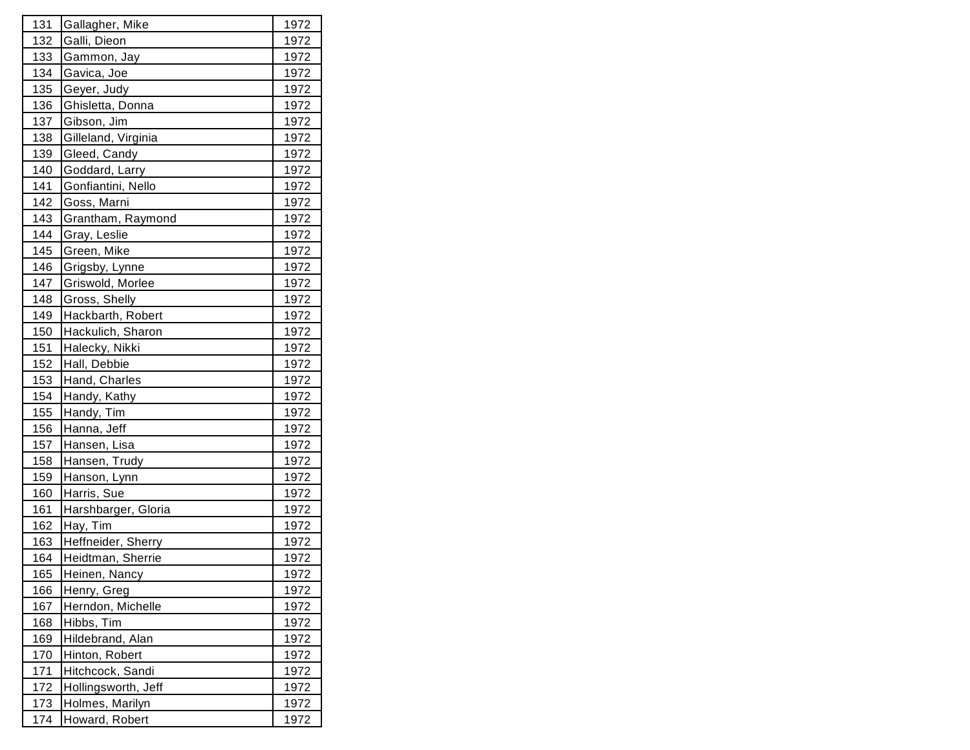| 131        | Gallagher, Mike     | 1972          |
|------------|---------------------|---------------|
| 132        | Galli, Dieon        | 1972          |
| 133        | Gammon, Jay         | 1972          |
| 134        | Gavica, Joe         | 1972          |
| 135        | Geyer, Judy         | 1972          |
| 136        | Ghisletta, Donna    | 1972          |
| 137        | Gibson, Jim         | <u>1972</u>   |
| 138        | Gilleland, Virginia | <u>1972</u>   |
| 139        | Gleed, Candy        | 1972          |
| 140        | Goddard, Larry      | 1972          |
| 141        | Gonfiantini, Nello  | 1972          |
| 142        | Goss, Marni         | <u> 1972 </u> |
| 143        | Grantham, Raymond   | <u>1972</u>   |
| 144        | Gray, Leslie        | 1972          |
| 145        | Green, Mike         | 1972          |
| 146        | Grigsby, Lynne      | 1972          |
| 147        | Griswold, Morlee    | <u>1972</u>   |
| 148        | Gross, Shelly       | 1972          |
| 149        | Hackbarth, Robert   | 1972          |
| 150        | Hackulich, Sharon   | 1972          |
| 151        | Halecky, Nikki      | 1972          |
| 152        | Hall, Debbie        | <u> 1972 </u> |
| 153        | Hand, Charles       | 1972          |
| 154        | Handy, Kathy        | 1972          |
| 155        | Handy, Tim          | 1972          |
| 156        | Hanna, Jeff         | 1972          |
| 157        | Hansen, Lisa        | <u>1972</u>   |
| 158        | Hansen, Trudy       | 1972          |
| 159        | Hanson, Lynn        | 1972          |
| 160        | Harris, Sue         | 1972          |
| 161        | Harshbarger, Gloria | 1972          |
| 162        | Hay, Tim            | <u>1972</u>   |
| 163        | Heffneider, Sherry  | 1972          |
| 164        | Heidtman, Sherrie   | 1972          |
| 165        | Heinen, Nancy       | 1972          |
| 166        | Henry, Greg         | 1972          |
| 167        | Herndon, Michelle   | <u>1972</u>   |
| 168        | Hibbs, Tim          | 1972          |
| 169        | Hildebrand, Alan    | 1972          |
| 170        | Hinton, Robert      | 1972          |
| 171        | Hitchcock, Sandi    | 1972          |
| <u>172</u> | Hollingsworth, Jeff | 1972          |
| 173        | Holmes, Marilyn     | 1972          |
| 174        | Howard, Robert      | 1972          |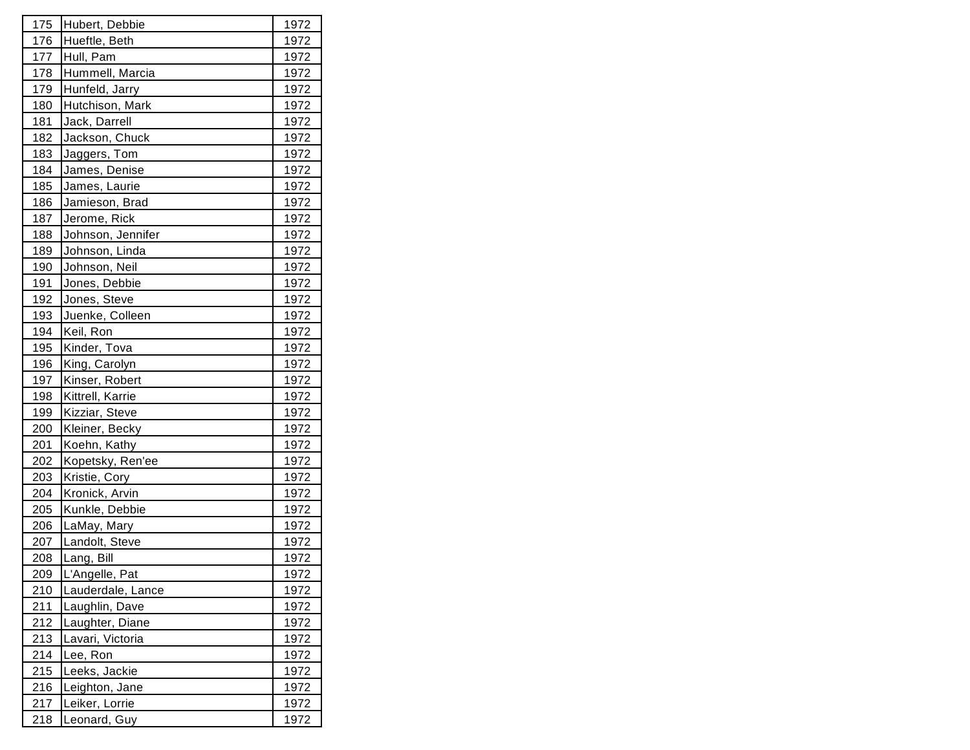| 175         | Hubert, Debbie    | 1972          |
|-------------|-------------------|---------------|
| 176         | Hueftle, Beth     | 1 <u>972</u>  |
| 177         | Hull, Pam         | 1972          |
| 178         | Hummell, Marcia   | 1972          |
| 179         | Hunfeld, Jarry    | 1972          |
| 180         | Hutchison, Mark   | 1972          |
| 181         | Jack, Darrell     | <u> 1972 </u> |
| 182         | Jackson, Chuck    | 1972          |
| 183         | Jaggers, Tom      | 1972          |
| 184         | James, Denise     | 1972          |
| 185         | James, Laurie     | 1972          |
| 186         | Jamieson, Brad    | <u> 1972 </u> |
| 187         | Jerome, Rick      | <u> 1972 </u> |
| 188         | Johnson, Jennifer | 1972          |
| 189         | Johnson, Linda    | 1972          |
| 190         | Johnson, Neil     | 1972          |
| 191         | Jones, Debbie     | 1972          |
| 192         | Jones, Steve      | 1972          |
| 193         | Juenke, Colleen   | 1972          |
| 194         | Keil, Ron         | 1972          |
| 195         | Kinder, Tova      | 1972          |
| 196         | King, Carolyn     | <u> 1972 </u> |
| 197         | Kinser, Robert    | 1972          |
| 198         | Kittrell, Karrie  | <u>1972</u>   |
| 199         | Kizziar, Steve    | 1972          |
| 200         | Kleiner, Becky    | 1972          |
| 201         | Koehn, Kathy      | <u> 1972 </u> |
| 202         | Kopetsky, Ren'ee  | 1972          |
| 203         | Kristie, Cory     | <u>1972</u>   |
| 204         | Kronick, Arvin    | 1972          |
| 205         | Kunkle, Debbie    | 1972          |
| 206         | LaMay, Mary       | <u> 1972 </u> |
| 207         | Landolt, Steve    | 1972          |
| 208         | Lang, Bill        | 1972          |
| 209         | L'Angelle, Pat    | 1972          |
| 210         | Lauderdale, Lance | 1972          |
| <u> 211</u> | Laughlin, Dave    | <u> 1972 </u> |
| <u>212</u>  | Laughter, Diane   | 1972          |
| 213         | Lavari, Victoria  | 1972          |
| 214         | Lee, Ron          | 1972          |
| 215         | Leeks, Jackie     | 1972          |
| 216         | Leighton, Jane    | 1972          |
| 217         | Leiker, Lorrie    | 1972          |
| 218         | Leonard, Guy      | 1972          |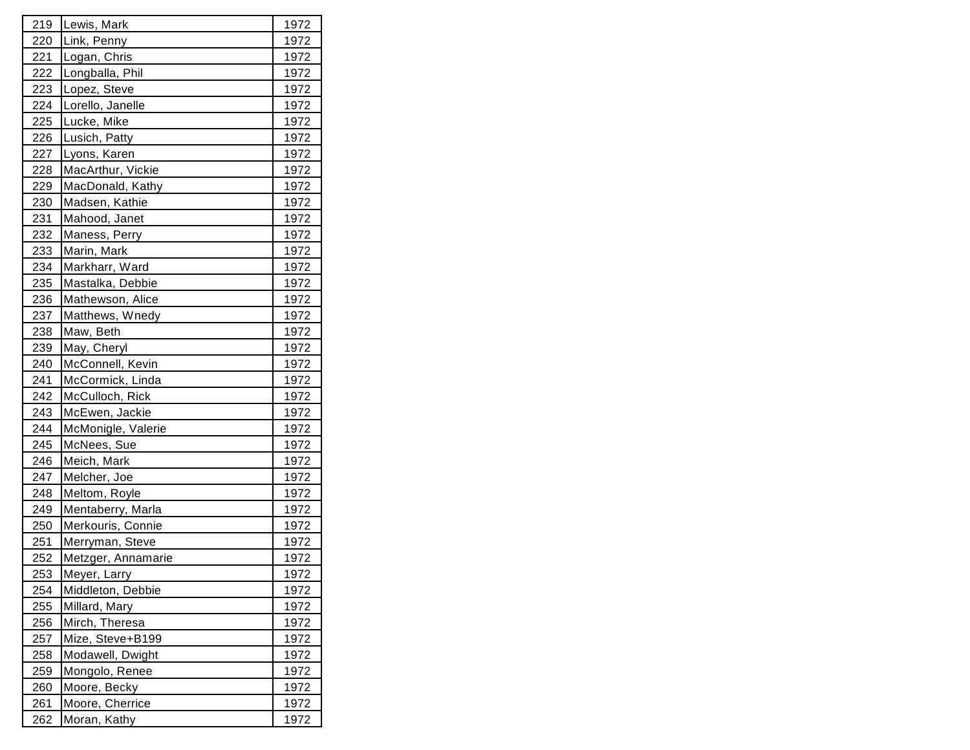| 219        | Lewis, Mark        | 1972        |
|------------|--------------------|-------------|
| 220        | Link, Penny        | 1972        |
| <u>221</u> | Logan, Chris       | 1972        |
| 222        | Longballa, Phil    | 1972        |
| 223        | Lopez, Steve       | 1972        |
| 224        | Lorello, Janelle   | 1972        |
| 225        | Lucke, Mike        | 1972        |
| <u>226</u> | Lusich, Patty      | 1972        |
| 227        | Lyons, Karen       | 1972        |
| 228        | MacArthur, Vickie  | 1972        |
| 229        | MacDonald, Kathy   | 1972        |
| 230        | Madsen, Kathie     | 1972        |
| 231        | Mahood, Janet      | 1972        |
| 232        | Maness, Perry      | 1972        |
| 233        | Marin, Mark        | 1972        |
| 234        | Markharr, Ward     | 1972        |
| 235        | Mastalka, Debbie   | 1972        |
| 236        | Mathewson, Alice   | 1972        |
| 237        | Matthews, Wnedy    | 1972        |
| 238        | Maw, Beth          | 1972        |
| 239        | May, Cheryl        | 1972        |
| 240        | McConnell, Kevin   | 1972        |
| 241        | McCormick, Linda   | 1972        |
| 242        | McCulloch, Rick    | 1972        |
| 243        | McEwen, Jackie     | 1972        |
| 244        | McMonigle, Valerie | 1972        |
| 245        | McNees, Sue        | 1972        |
| 246        | Meich, Mark        | 1972        |
| 247        | Melcher, Joe       | 1972        |
| 248        | Meltom, Royle      | 1972        |
| 249        | Mentaberry, Marla  | 1972        |
| 250        | Merkouris, Connie  | 1972        |
| 251        | Merryman, Steve    | 1972        |
| 252        | Metzger, Annamarie | 1972        |
| 253        | Meyer, Larry       | 1972        |
| 254        | Middleton, Debbie  | 1972        |
| <u>255</u> | Millard, Mary      | <u>1972</u> |
| <u>256</u> | Mirch, Theresa     | 1972        |
| 257        | Mize, Steve+B199   | 1972        |
| 258        | Modawell, Dwight   | 1972        |
| 259        | Mongolo, Renee     | 1972        |
| <u>260</u> | Moore, Becky       | 1972        |
| 261        | Moore, Cherrice    | 1972        |
| 262        | Moran, Kathy       | 1972        |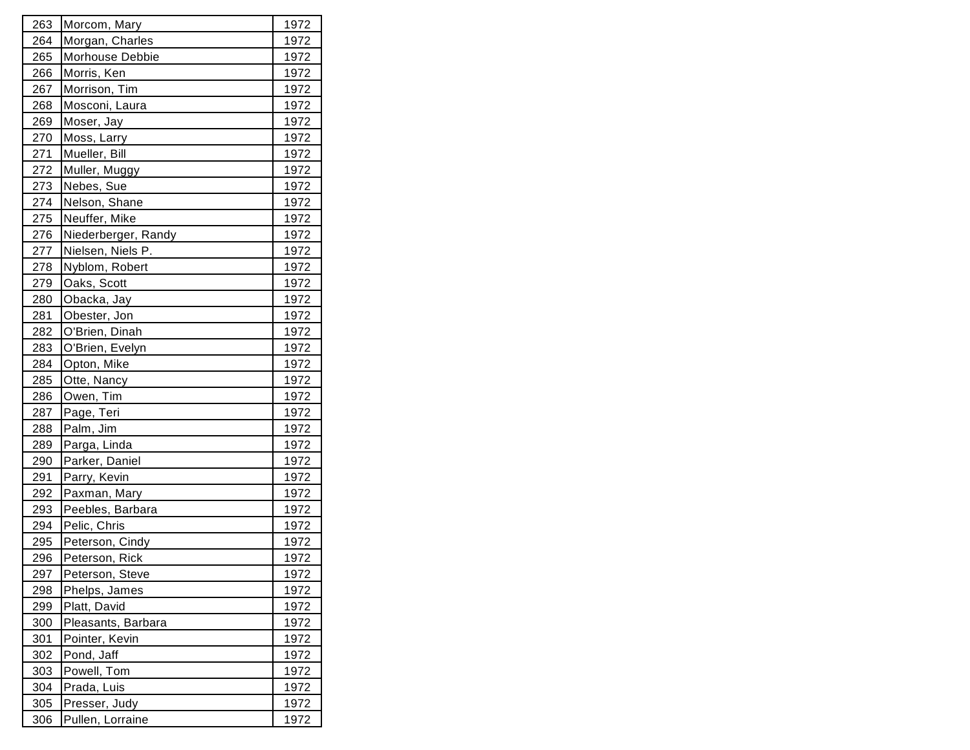| 263        | Morcom, Mary        | 1972          |
|------------|---------------------|---------------|
| 264        | Morgan, Charles     | 1972          |
| 265        | Morhouse Debbie     | 1972          |
| 266        | Morris, Ken         | 1972          |
| 267        | Morrison, Tim       | 1972          |
| 268        | Mosconi, Laura      | 1972          |
| 269        | Moser, Jay          | 1972          |
| 270        | Moss, Larry         | 1972          |
| 271        | Mueller, Bill       | 1972          |
| 272        | Muller, Muggy       | 1972          |
| 273        | Nebes, Sue          | 1972          |
| 274        | Nelson, Shane       | 1972          |
| 275        | Neuffer, Mike       | 1972          |
| 276        | Niederberger, Randy | 1972          |
| 277        | Nielsen, Niels P.   | 1972          |
| 278        | Nyblom, Robert      | 1972          |
| 279        | Oaks, Scott         | 1972          |
| 280        | Obacka, Jay         | 1972          |
| 281        | Obester, Jon        | 1972          |
| 282        | O'Brien, Dinah      | 1972          |
| 283        | O'Brien, Evelyn     | 1972          |
| 284        | Opton, Mike         | 1972          |
| 285        | Otte, Nancy         | 1972          |
| 286        | Owen, Tim           | 1972          |
| 287        | Page, Teri          | 1972          |
| 288        | Palm, Jim           | 1972          |
| 289        | Parga, Linda        | 1972          |
| 290        | Parker, Daniel      | 1972          |
| 291        | Parry, Kevin        | 1972          |
| 292        | Paxman, Mary        | 1972          |
| 293        | Peebles, Barbara    | 1972          |
| 294        | Pelic, Chris        | 1972          |
| 295        | Peterson, Cindy     | 1972          |
| 296        | Peterson, Rick      | 1972          |
| 297        | Peterson, Steve     | 1972          |
| 298        | Phelps, James       | 1972          |
| <u>299</u> | Platt, David        | <u> 1972 </u> |
| 300        | Pleasants, Barbara  | 1972          |
| 301        | Pointer, Kevin      | 1972          |
| 302        | Pond, Jaff          | 1972          |
| 303        | Powell, Tom         | 1972          |
| 304        | Prada, Luis         | 1972          |
| 305        | Presser, Judy       | 1972          |
| 306        | Pullen, Lorraine    | 1972          |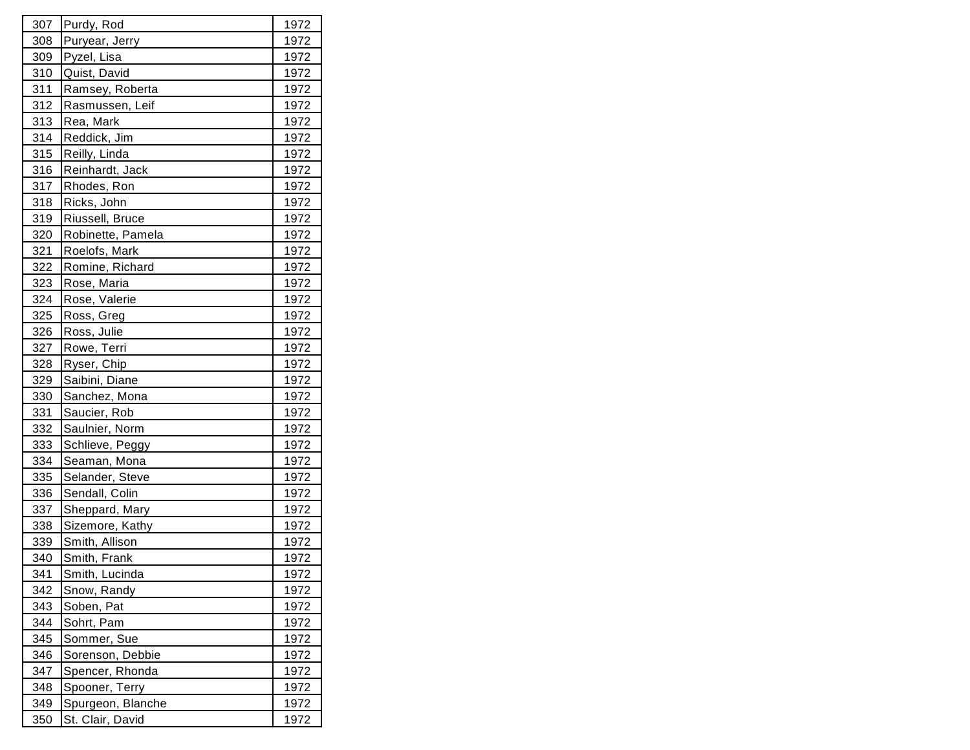| 307 | Purdy, Rod        | 1972        |
|-----|-------------------|-------------|
| 308 | Puryear, Jerry    | 1972        |
| 309 | Pyzel, Lisa       | 1972        |
| 310 | Quist, David      | 1972        |
| 311 | Ramsey, Roberta   | 1972        |
| 312 | Rasmussen, Leif   | 1972        |
| 313 | Rea, Mark         | 1972        |
| 314 | Reddick, Jim      | 1972        |
| 315 | Reilly, Linda     | 1972        |
| 316 | Reinhardt, Jack   | 1972        |
| 317 | Rhodes, Ron       | 1972        |
| 318 | Ricks, John       | 1972        |
| 319 | Riussell, Bruce   | 1972        |
| 320 | Robinette, Pamela | 1972        |
| 321 | Roelofs, Mark     | 1972        |
| 322 | Romine, Richard   | 1972        |
| 323 | Rose, Maria       | 1972        |
| 324 | Rose, Valerie     | 1972        |
| 325 | Ross, Greg        | 1972        |
| 326 | Ross, Julie       | 1972        |
| 327 | Rowe, Terri       | 1972        |
| 328 | Ryser, Chip       | 1972        |
| 329 | Saibini, Diane    | 1972        |
| 330 | Sanchez, Mona     | 1972        |
| 331 | Saucier, Rob      | 1972        |
| 332 | Saulnier, Norm    | 1972        |
| 333 | Schlieve, Peggy   | 1972        |
| 334 | Seaman, Mona      | 1972        |
| 335 | Selander, Steve   | 1972        |
| 336 | Sendall, Colin    | 1972        |
| 337 | Sheppard, Mary    | 1972        |
| 338 | Sizemore, Kathy   | 1972        |
| 339 | Smith, Allison    | 1972        |
| 340 | Smith, Frank      | 1972        |
| 341 | Smith, Lucinda    | 1972        |
| 342 | Snow, Randy       | 1972        |
| 343 | Soben, Pat        | <u>1972</u> |
| 344 | Sohrt, Pam        | 1972        |
| 345 | Sommer, Sue       | 1972        |
| 346 | Sorenson, Debbie  | 1972        |
| 347 | Spencer, Rhonda   | 1972        |
| 348 | Spooner, Terry    | 1972        |
| 349 | Spurgeon, Blanche | 1972        |
| 350 | St. Clair, David  | 1972        |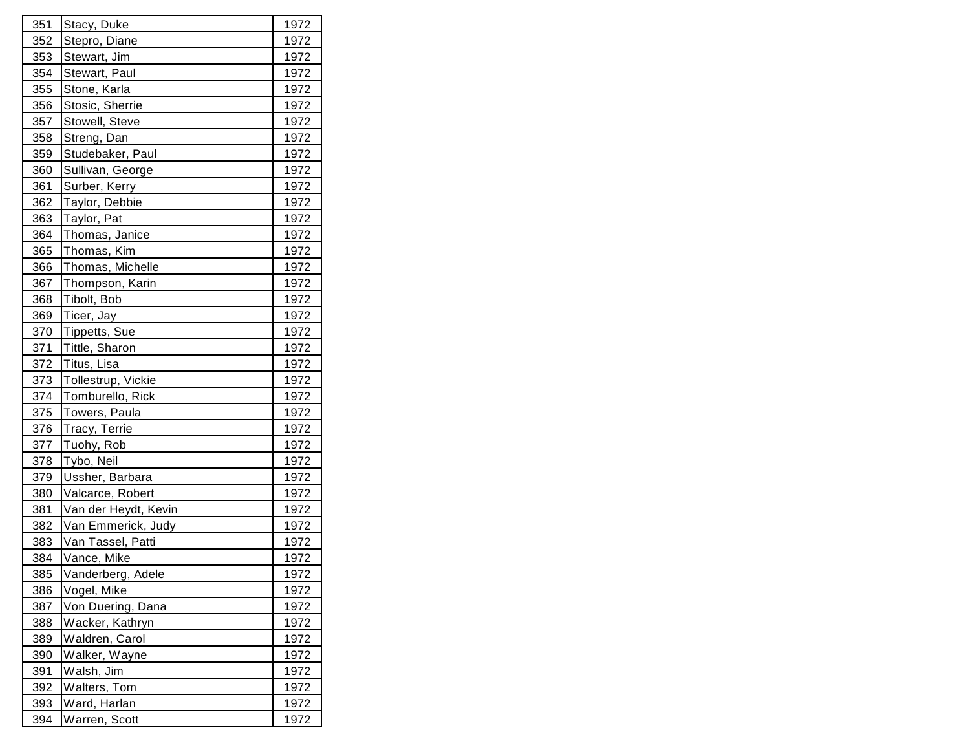| 351 | Stacy, Duke          | 1972         |
|-----|----------------------|--------------|
| 352 | Stepro, Diane        | 1972         |
| 353 | Stewart, Jim         | 1972         |
| 354 | Stewart, Paul        | 1972         |
| 355 | Stone, Karla         | 1972         |
| 356 | Stosic, Sherrie      | 1972         |
| 357 | Stowell, Steve       | 1972         |
| 358 | Streng, Dan          | 1972         |
| 359 | Studebaker, Paul     | 1972         |
| 360 | Sullivan, George     | 1972         |
| 361 | Surber, Kerry        | 1972         |
| 362 | Taylor, Debbie       | 1972         |
| 363 | Taylor, Pat          | 1972         |
| 364 | Thomas, Janice       | 1972         |
| 365 | Thomas, Kim          | 1972         |
| 366 | Thomas, Michelle     | 1972         |
| 367 | Thompson, Karin      | 1972         |
| 368 | Tibolt, Bob          | 1972         |
| 369 | Ticer, Jay           | 1972         |
| 370 | Tippetts, Sue        | 1972         |
| 371 | Tittle, Sharon       | 1972         |
| 372 | Titus, Lisa          | 1972         |
| 373 | Tollestrup, Vickie   | 1972         |
| 374 | Tomburello, Rick     | 1972         |
| 375 | Towers, Paula        | 1972         |
| 376 | Tracy, Terrie        | 1972         |
| 377 | Tuohy, Rob           | 1972         |
| 378 | Tybo, Neil           | 1972         |
| 379 | Ussher, Barbara      | 1972         |
| 380 | Valcarce, Robert     | 1972         |
| 381 | Van der Heydt, Kevin | 1972         |
| 382 | Van Emmerick, Judy   | 1972         |
| 383 | Van Tassel, Patti    | 1972         |
| 384 | Vance, Mike          | 1972         |
| 385 | Vanderberg, Adele    | 1972         |
| 386 | Vogel, Mike          | 1972         |
| 387 | Von Duering, Dana    | <u> 1972</u> |
| 388 | Wacker, Kathryn      | 1972         |
| 389 | Waldren, Carol       | 1972         |
| 390 | Walker, Wayne        | 1972         |
| 391 | Walsh, Jim           | 1972         |
| 392 | Walters, Tom         | 1972         |
| 393 | Ward, Harlan         | 1972         |
| 394 | Warren, Scott        | 1972         |